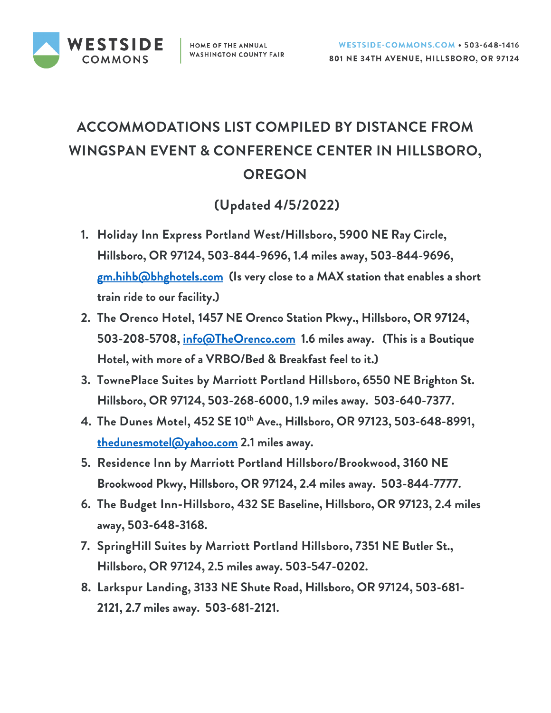

## **ACCOMMODATIONS LIST COMPILED BY DISTANCE FROM WINGSPAN EVENT & CONFERENCE CENTER IN HILLSBORO, OREGON**

## **(Updated 4/5/2022)**

- **1. Holiday Inn Express Portland West/Hillsboro, 5900 NE Ray Circle, Hillsboro, OR 97124, 503-844-9696, 1.4 miles away, 503-844-9696, [gm.hihb@bhghotels.com](mailto:gm.hihb@bhghotels.com) (Is very close to a MAX station that enables a short train ride to our facility.)**
- **2. The Orenco Hotel, 1457 NE Orenco Station Pkwy., Hillsboro, OR 97124, 503-208-5708, [info@TheOrenco.com](mailto:info@TheOrenco.com) 1.6 miles away. (This is a Boutique Hotel, with more of a VRBO/Bed & Breakfast feel to it.)**
- **3. TownePlace Suites by Marriott Portland Hillsboro, 6550 NE Brighton St. Hillsboro, OR 97124, 503-268-6000, 1.9 miles away. 503-640-7377.**
- **4. The Dunes Motel, 452 SE 10th Ave., Hillsboro, OR 97123, 503-648-8991, [thedunesmotel@yahoo.com](mailto:thedunesmotel@yahoo.com) 2.1 miles away.**
- **5. Residence Inn by Marriott Portland Hillsboro/Brookwood, 3160 NE Brookwood Pkwy, Hillsboro, OR 97124, 2.4 miles away. 503-844-7777.**
- **6. The Budget Inn-Hillsboro, 432 SE Baseline, Hillsboro, OR 97123, 2.4 miles away, 503-648-3168.**
- **7. SpringHill Suites by Marriott Portland Hillsboro, 7351 NE Butler St., Hillsboro, OR 97124, 2.5 miles away. 503-547-0202.**
- **8. Larkspur Landing, 3133 NE Shute Road, Hillsboro, OR 97124, 503-681- 2121, 2.7 miles away. 503-681-2121.**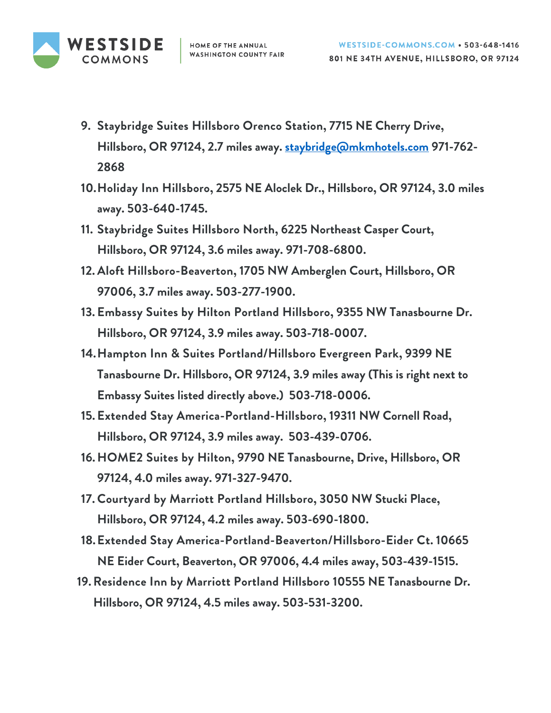

- **9. Staybridge Suites Hillsboro Orenco Station, 7715 NE Cherry Drive, Hillsboro, OR 97124, 2.7 miles away. [staybridge@mkmhotels.com](mailto:staybridge@mkmhotels.com) 971-762- 2868**
- **10.Holiday Inn Hillsboro, 2575 NE Aloclek Dr., Hillsboro, OR 97124, 3.0 miles away. 503-640-1745.**
- **11. Staybridge Suites Hillsboro North, 6225 Northeast Casper Court, Hillsboro, OR 97124, 3.6 miles away. 971-708-6800.**
- **12. Aloft Hillsboro-Beaverton, 1705 NW Amberglen Court, Hillsboro, OR 97006, 3.7 miles away. 503-277-1900.**
- **13. Embassy Suites by Hilton Portland Hillsboro, 9355 NW Tanasbourne Dr. Hillsboro, OR 97124, 3.9 miles away. 503-718-0007.**
- **14.Hampton Inn & Suites Portland/Hillsboro Evergreen Park, 9399 NE Tanasbourne Dr. Hillsboro, OR 97124, 3.9 miles away (This is right next to Embassy Suites listed directly above.) 503-718-0006.**
- **15. Extended Stay America-Portland-Hillsboro, 19311 NW Cornell Road, Hillsboro, OR 97124, 3.9 miles away. 503-439-0706.**
- **16.HOME2 Suites by Hilton, 9790 NE Tanasbourne, Drive, Hillsboro, OR 97124, 4.0 miles away. 971-327-9470.**
- **17.Courtyard by Marriott Portland Hillsboro, 3050 NW Stucki Place, Hillsboro, OR 97124, 4.2 miles away. 503-690-1800.**
- **18.Extended Stay America-Portland-Beaverton/Hillsboro-Eider Ct. 10665 NE Eider Court, Beaverton, OR 97006, 4.4 miles away, 503-439-1515.**
- **19.Residence Inn by Marriott Portland Hillsboro 10555 NE Tanasbourne Dr. Hillsboro, OR 97124, 4.5 miles away. 503-531-3200.**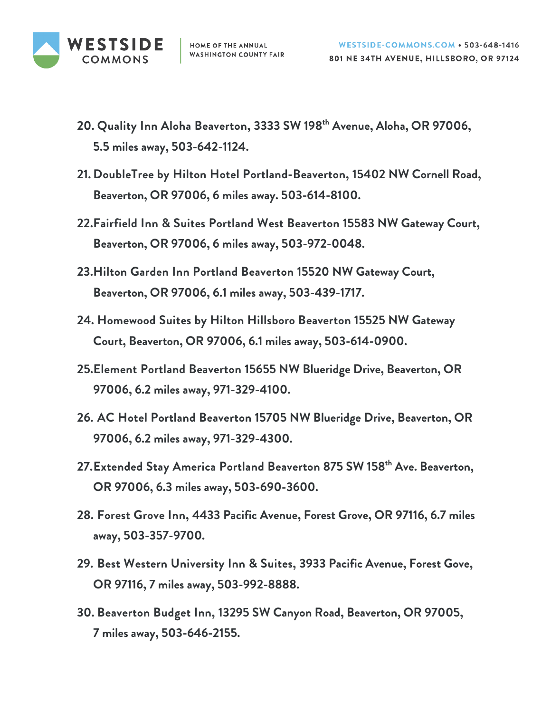

- **20. Quality Inn Aloha Beaverton, 3333 SW 198th Avenue, Aloha, OR 97006, 5.5 miles away, 503-642-1124.**
- **21. DoubleTree by Hilton Hotel Portland-Beaverton, 15402 NW Cornell Road, Beaverton, OR 97006, 6 miles away. 503-614-8100.**
- **22.Fairfield Inn & Suites Portland West Beaverton 15583 NW Gateway Court, Beaverton, OR 97006, 6 miles away, 503-972-0048.**
- **23.Hilton Garden Inn Portland Beaverton 15520 NW Gateway Court, Beaverton, OR 97006, 6.1 miles away, 503-439-1717.**
- **24. Homewood Suites by Hilton Hillsboro Beaverton 15525 NW Gateway Court, Beaverton, OR 97006, 6.1 miles away, 503-614-0900.**
- **25.Element Portland Beaverton 15655 NW Blueridge Drive, Beaverton, OR 97006, 6.2 miles away, 971-329-4100.**
- **26. AC Hotel Portland Beaverton 15705 NW Blueridge Drive, Beaverton, OR 97006, 6.2 miles away, 971-329-4300.**
- **27.Extended Stay America Portland Beaverton 875 SW 158th Ave. Beaverton, OR 97006, 6.3 miles away, 503-690-3600.**
- **28. Forest Grove Inn, 4433 Pacific Avenue, Forest Grove, OR 97116, 6.7 miles away, 503-357-9700.**
- **29. Best Western University Inn & Suites, 3933 Pacific Avenue, Forest Gove, OR 97116, 7 miles away, 503-992-8888.**
- **30. Beaverton Budget Inn, 13295 SW Canyon Road, Beaverton, OR 97005, 7 miles away, 503-646-2155.**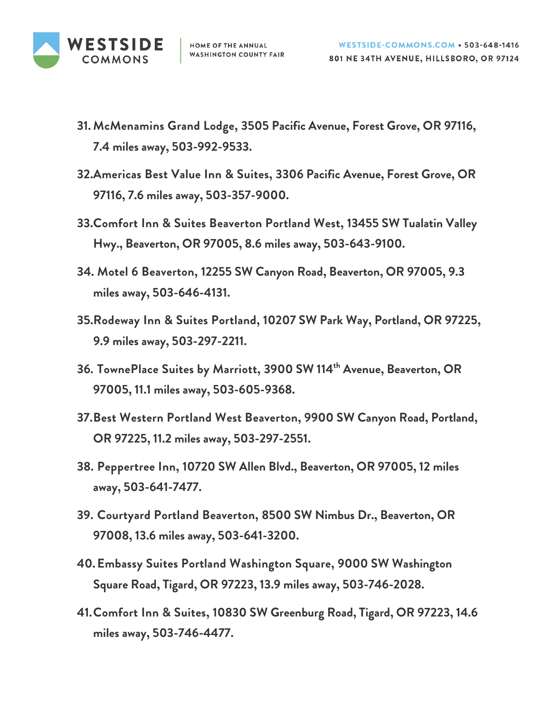

- **31. McMenamins Grand Lodge, 3505 Pacific Avenue, Forest Grove, OR 97116, 7.4 miles away, 503-992-9533.**
- **32.Americas Best Value Inn & Suites, 3306 Pacific Avenue, Forest Grove, OR 97116, 7.6 miles away, 503-357-9000.**
- **33.Comfort Inn & Suites Beaverton Portland West, 13455 SW Tualatin Valley Hwy., Beaverton, OR 97005, 8.6 miles away, 503-643-9100.**
- **34. Motel 6 Beaverton, 12255 SW Canyon Road, Beaverton, OR 97005, 9.3 miles away, 503-646-4131.**
- **35.Rodeway Inn & Suites Portland, 10207 SW Park Way, Portland, OR 97225, 9.9 miles away, 503-297-2211.**
- **36. TownePlace Suites by Marriott, 3900 SW 114th Avenue, Beaverton, OR 97005, 11.1 miles away, 503-605-9368.**
- **37.Best Western Portland West Beaverton, 9900 SW Canyon Road, Portland, OR 97225, 11.2 miles away, 503-297-2551.**
- **38. Peppertree Inn, 10720 SW Allen Blvd., Beaverton, OR 97005, 12 miles away, 503-641-7477.**
- **39. Courtyard Portland Beaverton, 8500 SW Nimbus Dr., Beaverton, OR 97008, 13.6 miles away, 503-641-3200.**
- **40.Embassy Suites Portland Washington Square, 9000 SW Washington Square Road, Tigard, OR 97223, 13.9 miles away, 503-746-2028.**
- **41.Comfort Inn & Suites, 10830 SW Greenburg Road, Tigard, OR 97223, 14.6 miles away, 503-746-4477.**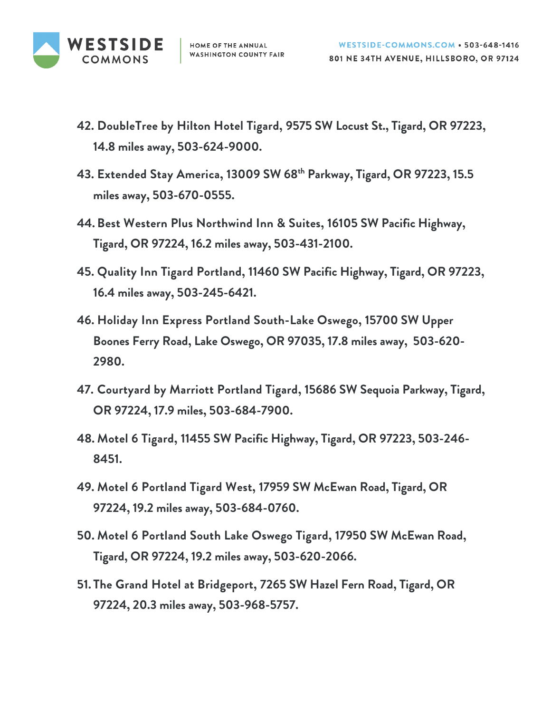

- **42. DoubleTree by Hilton Hotel Tigard, 9575 SW Locust St., Tigard, OR 97223, 14.8 miles away, 503-624-9000.**
- **43. Extended Stay America, 13009 SW 68th Parkway, Tigard, OR 97223, 15.5 miles away, 503-670-0555.**
- **44. Best Western Plus Northwind Inn & Suites, 16105 SW Pacific Highway, Tigard, OR 97224, 16.2 miles away, 503-431-2100.**
- **45. Quality Inn Tigard Portland, 11460 SW Pacific Highway, Tigard, OR 97223, 16.4 miles away, 503-245-6421.**
- **46. Holiday Inn Express Portland South-Lake Oswego, 15700 SW Upper Boones Ferry Road, Lake Oswego, OR 97035, 17.8 miles away, 503-620- 2980.**
- **47. Courtyard by Marriott Portland Tigard, 15686 SW Sequoia Parkway, Tigard, OR 97224, 17.9 miles, 503-684-7900.**
- **48. Motel 6 Tigard, 11455 SW Pacific Highway, Tigard, OR 97223, 503-246- 8451.**
- **49. Motel 6 Portland Tigard West, 17959 SW McEwan Road, Tigard, OR 97224, 19.2 miles away, 503-684-0760.**
- **50. Motel 6 Portland South Lake Oswego Tigard, 17950 SW McEwan Road, Tigard, OR 97224, 19.2 miles away, 503-620-2066.**
- **51. The Grand Hotel at Bridgeport, 7265 SW Hazel Fern Road, Tigard, OR 97224, 20.3 miles away, 503-968-5757.**